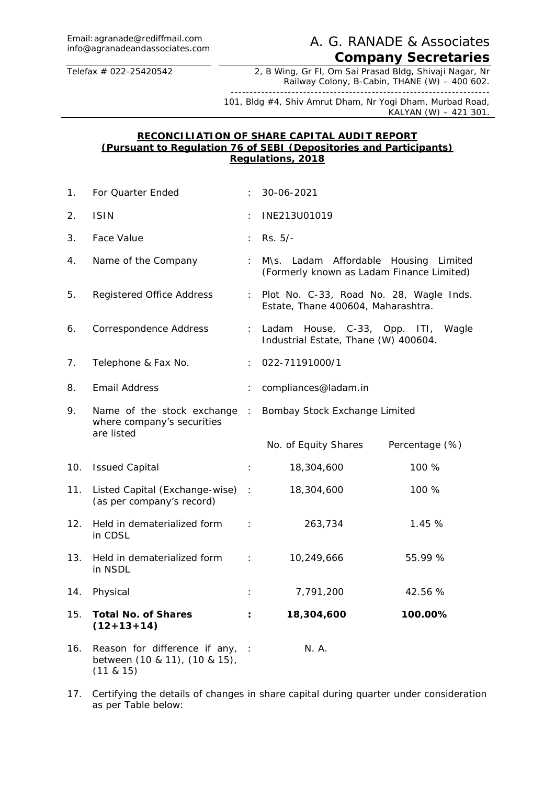## A. G. RANADE & Associates. *Company Secretaries*

Telefax # 022-25420542 2, B Wing, Gr Fl, Om Sai Prasad Bldg, Shivaji Nagar, Nr Railway Colony, B-Cabin, THANE (W) – 400 602.

-------------------------------------------------------------------- 101, Bldg #4, Shiv Amrut Dham, Nr Yogi Dham, Murbad Road, KALYAN (W) – 421 301.

#### **RECONCILIATION OF SHARE CAPITAL AUDIT REPORT (Pursuant to Regulation 76 of SEBI (Depositories and Participants) Regulations, 2018**

| 1.  | For Quarter Ended                                                                 |                | 30-06-2021                                                                         |                |  |
|-----|-----------------------------------------------------------------------------------|----------------|------------------------------------------------------------------------------------|----------------|--|
| 2.  | <b>ISIN</b>                                                                       |                | INE213U01019                                                                       |                |  |
| 3.  | Face Value                                                                        | ÷.             | Rs. 5/-                                                                            |                |  |
| 4.  | Name of the Company                                                               | ÷              | M\s. Ladam Affordable Housing Limited<br>(Formerly known as Ladam Finance Limited) |                |  |
| 5.  | Registered Office Address                                                         | $\mathbb{C}^2$ | Plot No. C-33, Road No. 28, Wagle Inds.<br>Estate, Thane 400604, Maharashtra.      |                |  |
| 6.  | Correspondence Address                                                            | ÷.             | Ladam House, C-33, Opp. ITI, Wagle<br>Industrial Estate, Thane (W) 400604.         |                |  |
| 7.  | Telephone & Fax No.                                                               |                | 022-71191000/1                                                                     |                |  |
| 8.  | Email Address                                                                     |                | compliances@ladam.in                                                               |                |  |
| 9.  | Name of the stock exchange :<br>where company's securities<br>are listed          |                | Bombay Stock Exchange Limited                                                      |                |  |
|     |                                                                                   |                | No. of Equity Shares                                                               | Percentage (%) |  |
| 10. | <b>Issued Capital</b>                                                             | $\mathcal{I}$  | 18,304,600                                                                         | 100 %          |  |
| 11. | Listed Capital (Exchange-wise) :<br>(as per company's record)                     |                | 18,304,600                                                                         | 100 %          |  |
| 12. | Held in dematerialized form<br>$\sim 10^{11}$ M<br>in CDSL                        |                | 263,734                                                                            | 1.45 %         |  |
| 13. | Held in dematerialized form :<br>in NSDL                                          |                | 10,249,666                                                                         | 55.99 %        |  |
| 14. | Physical                                                                          | ÷              | 7,791,200                                                                          | 42.56 %        |  |
| 15. | Total No. of Shares<br>$(12+13+14)$                                               | ÷              | 18,304,600                                                                         | 100.00%        |  |
| 16. | Reason for difference if any, :<br>between (10 & 11), (10 & 15),<br>(11 & 8 & 15) |                | N. A.                                                                              |                |  |

17. Certifying the details of changes in share capital during quarter under consideration as per Table below: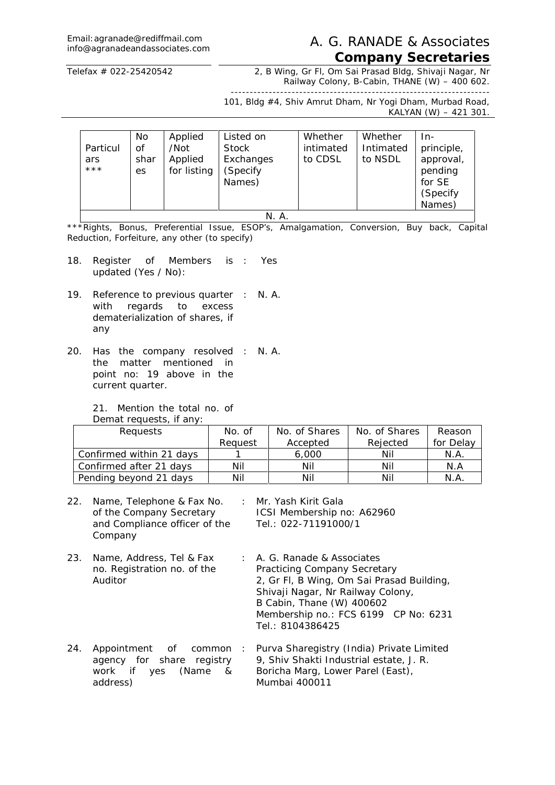# Email:agranade@rediffmail.com

#### Email: agranade@rediffmail.com <br>info@agranadeandassociates.com A. G. RANADE & Associates *Company Secretaries*

Telefax # 022-25420542 2, B Wing, Gr Fl, Om Sai Prasad Bldg, Shivaji Nagar, Nr Railway Colony, B-Cabin, THANE (W) – 400 602.

-------------------------------------------------------------------- 101, Bldg #4, Shiv Amrut Dham, Nr Yogi Dham, Murbad Road, KALYAN (W) – 421 301.

| No<br>Οf<br>Particul<br>shar<br>ars<br>$***$<br>es | Applied<br>/Not<br>Applied<br>for listing | Listed on<br><b>Stock</b><br>Exchanges<br>(Specify<br>Names) | Whether<br>intimated<br>to CDSL | Whether<br>Intimated<br>to NSDL | In-<br>principle,<br>approval,<br>pending<br>for SE<br>(Specify<br>Names) |
|----------------------------------------------------|-------------------------------------------|--------------------------------------------------------------|---------------------------------|---------------------------------|---------------------------------------------------------------------------|
|----------------------------------------------------|-------------------------------------------|--------------------------------------------------------------|---------------------------------|---------------------------------|---------------------------------------------------------------------------|

#### N. A.

\*\*\*Rights, Bonus, Preferential Issue, ESOP's, Amalgamation, Conversion, Buy back, Capital Reduction, Forfeiture, any other (to specify)

- 18. Register of Members is : Yes updated (Yes / No):
- 19. Reference to previous quarter : N. A. with regards to excess dematerialization of shares, if any
- 20. Has the company resolved : N. A.the matter mentioned in point no: 19 above in the current quarter.

21. Mention the total no. of Demat requests, if any

| Defilat reguests, il dify. |         |               |               |           |  |
|----------------------------|---------|---------------|---------------|-----------|--|
| Requests                   | No. of  | No. of Shares | No. of Shares | Reason    |  |
|                            | Reauest | Accepted      | Rejected      | for Delay |  |
| Confirmed within 21 days   |         | 6,000         | Nil           | N.A.      |  |
| Confirmed after 21 days    | Nil     | Nil           | Nil           | N.A       |  |
| Pending beyond 21 days     | Nil     | Nil           | Nil           | N.A       |  |

- 22. Name, Telephone & Fax No. : Mr. Yash Kirit Gala of the Company Secretary and Compliance officer of the **Company** ICSI Membership no: A62960 Tel.: 022-71191000/1
- 23. Name, Address, Tel & Fax no. Registration no. of the Auditor : A. G. Ranade & Associates Practicing Company Secretary 2, Gr Fl, B Wing, Om Sai Prasad Building, Shivaji Nagar, Nr Railway Colony, B Cabin, Thane (W) 400602 Membership no.: FCS 6199 CP No: 6231 Tel.: 8104386425
- 24. Appointment of common agency for share registry work if yes (Name & address) : Purva Sharegistry (India) Private Limited 9, Shiv Shakti Industrial estate, J. R. Boricha Marg, Lower Parel (East), Mumbai 400011